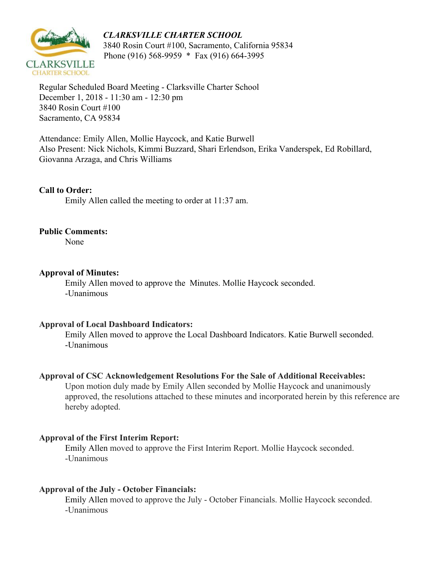# *CLARKSVILLE CHARTER SCHOOL*



 3840 Rosin Court #100, Sacramento, California 95834 Phone (916) 568-9959 \* Fax (916) 664-3995

Regular Scheduled Board Meeting - Clarksville Charter School December 1, 2018 - 11:30 am - 12:30 pm 3840 Rosin Court #100 Sacramento, CA 95834

Attendance: Emily Allen, Mollie Haycock, and Katie Burwell Also Present: Nick Nichols, Kimmi Buzzard, Shari Erlendson, Erika Vanderspek, Ed Robillard, Giovanna Arzaga, and Chris Williams

## **Call to Order:**

Emily Allen called the meeting to order at 11:37 am.

#### **Public Comments:**

None

### **Approval of Minutes:**

Emily Allen moved to approve the Minutes. Mollie Haycock seconded. -Unanimous

#### **Approval of Local Dashboard Indicators:**

Emily Allen moved to approve the Local Dashboard Indicators. Katie Burwell seconded. -Unanimous

#### **Approval of CSC Acknowledgement Resolutions For the Sale of Additional Receivables:**

Upon motion duly made by Emily Allen seconded by Mollie Haycock and unanimously approved, the resolutions attached to these minutes and incorporated herein by this reference are hereby adopted.

#### **Approval of the First Interim Report:**

Emily Allen moved to approve the First Interim Report. Mollie Haycock seconded. -Unanimous

## **Approval of the July - October Financials:**

Emily Allen moved to approve the July - October Financials. Mollie Haycock seconded. -Unanimous